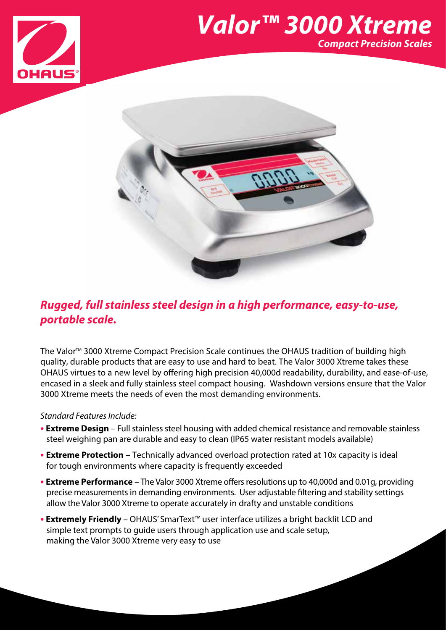

## *Valor™ 3000 Xtreme Compact Precision Scales*



## *Rugged, full stainless steel design in a high performance, easy-to-use, portable scale.*

The Valor<sup>™</sup> 3000 Xtreme Compact Precision Scale continues the OHAUS tradition of building high quality, durable products that are easy to use and hard to beat. The Valor 3000 Xtreme takes these OHAUS virtues to a new level by offering high precision 40,000d readability, durability, and ease-of-use, encased in a sleek and fully stainless steel compact housing. Washdown versions ensure that the Valor 3000 Xtreme meets the needs of even the most demanding environments.

#### *Standard Features Include:*

- **• Extreme Design** Full stainless steel housing with added chemical resistance and removable stainless steel weighing pan are durable and easy to clean (IP65 water resistant models available)
- **• Extreme Protection** Technically advanced overload protection rated at 10x capacity is ideal for tough environments where capacity is frequently exceeded
- **• Extreme Performance** The Valor 3000 Xtreme offers resolutions up to 40,000d and 0.01g, providing precise measurements in demanding environments. User adjustable filtering and stability settings allow the Valor 3000 Xtreme to operate accurately in drafty and unstable conditions
- **• Extremely Friendly** OHAUS' SmarText™ user interface utilizes a bright backlit LCD and simple text prompts to guide users through application use and scale setup, making the Valor 3000 Xtreme very easy to use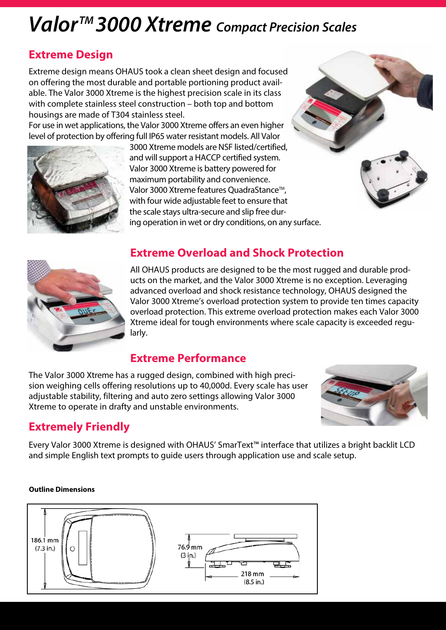# *ValorTM 3000 Xtreme Compact Precision Scales*

## **Extreme Design**

Extreme design means OHAUS took a clean sheet design and focused on offering the most durable and portable portioning product available. The Valor 3000 Xtreme is the highest precision scale in its class with complete stainless steel construction – both top and bottom housings are made of T304 stainless steel.

For use in wet applications, the Valor 3000 Xtreme offers an even higher level of protection by offering full IP65 water resistant models. All Valor



3000 Xtreme models are NSF listed/certified, and will support a HACCP certified system. Valor 3000 Xtreme is battery powered for maximum portability and convenience. Valor 3000 Xtreme features QuadraStance™, with four wide adjustable feet to ensure that the scale stays ultra-secure and slip free during operation in wet or dry conditions, on any surface.



### **Extreme Overload and Shock Protection**

All OHAUS products are designed to be the most rugged and durable products on the market, and the Valor 3000 Xtreme is no exception. Leveraging advanced overload and shock resistance technology, OHAUS designed the Valor 3000 Xtreme's overload protection system to provide ten times capacity overload protection. This extreme overload protection makes each Valor 3000 Xtreme ideal for tough environments where scale capacity is exceeded regularly.

### **Extreme Performance**

The Valor 3000 Xtreme has a rugged design, combined with high precision weighing cells offering resolutions up to 40,000d. Every scale has user adjustable stability, filtering and auto zero settings allowing Valor 3000 Xtreme to operate in drafty and unstable environments.



## **Extremely Friendly**

Every Valor 3000 Xtreme is designed with OHAUS' SmarText™ interface that utilizes a bright backlit LCD and simple English text prompts to guide users through application use and scale setup.

#### **Outline Dimensions**

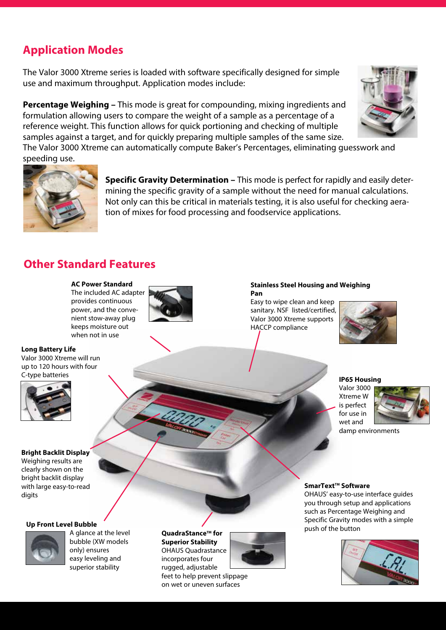## **Application Modes**

The Valor 3000 Xtreme series is loaded with software specifically designed for simple use and maximum throughput. Application modes include:

**Percentage Weighing –** This mode is great for compounding, mixing ingredients and formulation allowing users to compare the weight of a sample as a percentage of a reference weight. This function allows for quick portioning and checking of multiple samples against a target, and for quickly preparing multiple samples of the same size.

The Valor 3000 Xtreme can automatically compute Baker's Percentages, eliminating guesswork and speeding use.



**Specific Gravity Determination –** This mode is perfect for rapidly and easily determining the specific gravity of a sample without the need for manual calculations. Not only can this be critical in materials testing, it is also useful for checking aeration of mixes for food processing and foodservice applications.

## **Other Standard Features**

#### **AC Power Standard**

The included AC adapter provides continuous power, and the convenient stow-away plug keeps moisture out when not in use



#### **Long Battery Life**

Valor 3000 Xtreme will run up to 120 hours with four C-type batteries



#### **Bright Backlit Display**

Weighing results are clearly shown on the bright backlit display with large easy-to-read digits

#### **Up Front Level Bubble**



A glance at the level bubble (XW models only) ensures easy leveling and superior stability

**QuadraStance™ for Superior Stability** OHAUS Quadrastance incorporates four rugged, adjustable



feet to help prevent slippage on wet or uneven surfaces

#### **Stainless Steel Housing and Weighing Pan**

Easy to wipe clean and keep sanitary. NSF listed/certified, Valor 3000 Xtreme supports HACCP compliance



#### **IP65 Housing**

Valor 3000 Xtreme W is perfect for use in wet and



damp environments

#### **SmarText™ Software**

OHAUS' easy-to-use interface guides you through setup and applications such as Percentage Weighing and Specific Gravity modes with a simple push of the button